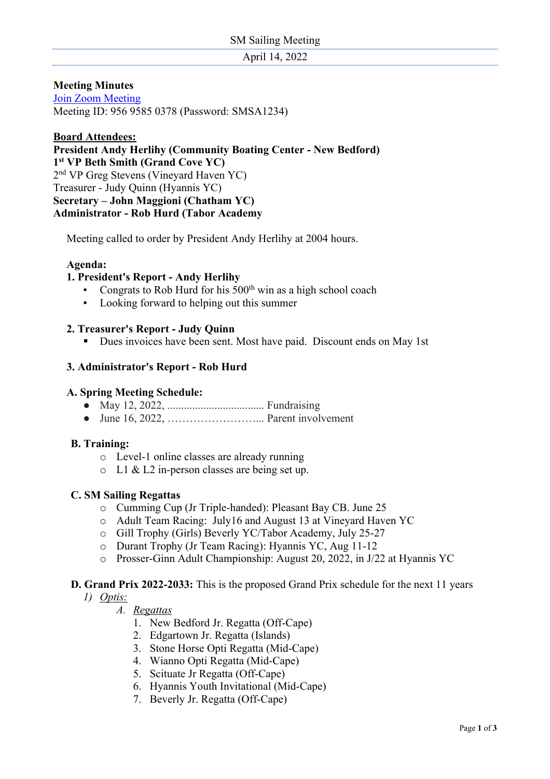April 14, 2022

### **Meeting Minutes**

Join Zoom Meeting Meeting ID: 956 9585 0378 (Password: SMSA1234)

# **Board Attendees: President Andy Herlihy (Community Boating Center - New Bedford) 1st VP Beth Smith (Grand Cove YC)**  2nd VP Greg Stevens (Vineyard Haven YC) Treasurer - Judy Quinn (Hyannis YC) **Secretary – John Maggioni (Chatham YC) Administrator - Rob Hurd (Tabor Academy**

Meeting called to order by President Andy Herlihy at 2004 hours.

### **Agenda:**

### **1. President's Report - Andy Herlihy**

- **•** Congrats to Rob Hurd for his  $500<sup>th</sup>$  win as a high school coach
- Looking forward to helping out this summer

#### **2. Treasurer's Report - Judy Quinn**

§ Dues invoices have been sent. Most have paid. Discount ends on May 1st

#### **3. Administrator's Report - Rob Hurd**

#### **A. Spring Meeting Schedule:**

- May 12, 2022, ................................... Fundraising
- June 16, 2022, ……………………... Parent involvement

#### **B. Training:**

- o Level-1 online classes are already running
- o L1 & L2 in-person classes are being set up.

#### **C. SM Sailing Regattas**

- o Cumming Cup (Jr Triple-handed): Pleasant Bay CB. June 25
- o Adult Team Racing: July16 and August 13 at Vineyard Haven YC
- o Gill Trophy (Girls) Beverly YC/Tabor Academy, July 25-27
- o Durant Trophy (Jr Team Racing): Hyannis YC, Aug 11-12
- o Prosser-Ginn Adult Championship: August 20, 2022, in J/22 at Hyannis YC

# **D. Grand Prix 2022-2033:** This is the proposed Grand Prix schedule for the next 11 years

#### *1) Optis:*

- *A. Regattas*
	- 1. New Bedford Jr. Regatta (Off-Cape)
	- 2. Edgartown Jr. Regatta (Islands)
	- 3. Stone Horse Opti Regatta (Mid-Cape)
	- 4. Wianno Opti Regatta (Mid-Cape)
	- 5. Scituate Jr Regatta (Off-Cape)
	- 6. Hyannis Youth Invitational (Mid-Cape)
	- 7. Beverly Jr. Regatta (Off-Cape)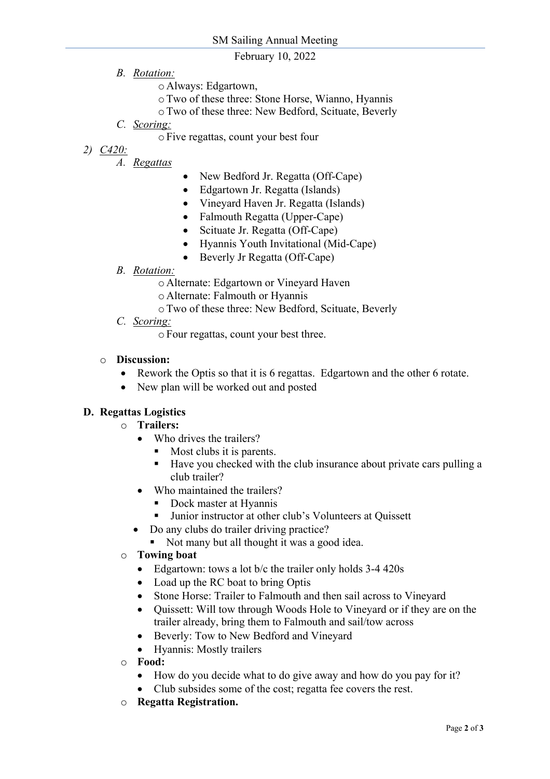# February 10, 2022

- *B. Rotation:*
	- o Always: Edgartown,
	- oTwo of these three: Stone Horse, Wianno, Hyannis
	- oTwo of these three: New Bedford, Scituate, Beverly
- *C. Scoring:* 
	- oFive regattas, count your best four
- *2) C420:*
	- *A. Regattas*
- New Bedford Jr. Regatta (Off-Cape)
- Edgartown Jr. Regatta (Islands)
- Vineyard Haven Jr. Regatta (Islands)
- Falmouth Regatta (Upper-Cape)
- Scituate Jr. Regatta (Off-Cape)
- Hyannis Youth Invitational (Mid-Cape)
- Beverly Jr Regatta (Off-Cape)
- *B. Rotation:*
	- o Alternate: Edgartown or Vineyard Haven
	- o Alternate: Falmouth or Hyannis
	- oTwo of these three: New Bedford, Scituate, Beverly
- *C. Scoring:*

oFour regattas, count your best three.

#### o **Discussion:**

- Rework the Optis so that it is 6 regattas. Edgartown and the other 6 rotate.
- New plan will be worked out and posted

# **D. Regattas Logistics**

- o **Trailers:**
	- Who drives the trailers?
		- Most clubs it is parents.
		- § Have you checked with the club insurance about private cars pulling a club trailer?
	- Who maintained the trailers?
		- § Dock master at Hyannis
		- Junior instructor at other club's Volunteers at Quissett
	- Do any clubs do trailer driving practice?
		- Not many but all thought it was a good idea.
- o **Towing boat**
	- Edgartown: tows a lot b/c the trailer only holds 3-4 420s
	- Load up the RC boat to bring Optis
	- Stone Horse: Trailer to Falmouth and then sail across to Vineyard
	- Ouissett: Will tow through Woods Hole to Vineyard or if they are on the trailer already, bring them to Falmouth and sail/tow across
	- Beverly: Tow to New Bedford and Vineyard
	- Hyannis: Mostly trailers
- o **Food:** 
	- How do you decide what to do give away and how do you pay for it?
	- Club subsides some of the cost; regatta fee covers the rest.
- o **Regatta Registration.**